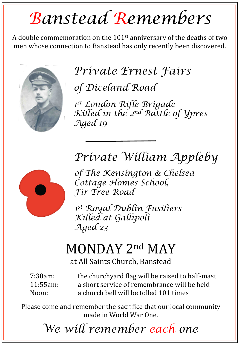# *Banstead Remembers*

A double commemoration on the  $101<sup>st</sup>$  anniversary of the deaths of two men whose connection to Banstead has only recently been discovered.



## *Private Ernest Fairs*

*of Diceland Road* 

*1st London Rifle Brigade Killed in the 2nd Battle of Ypres Aged 19* 

### *Private William Appleby*



*of The Kensington & Chelsea Cottage Homes School, Fir Tree Road* 

*1st Royal Dublin Fusiliers Killed at Gallipoli Aged 23*

# MONDAY 2<sup>nd</sup> MAY

at All Saints Church, Banstead

7:30am: the churchyard flag will be raised to half-mast 11:55am: a short service of remembrance will be held Noon: a church bell will be tolled 101 times

Please come and remember the sacrifice that our local community made in World War One.

*We will remember each one*